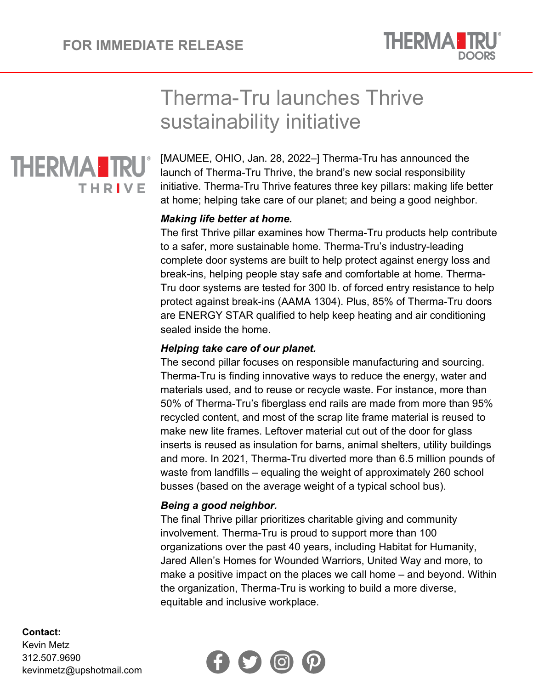

# Therma-Tru launches Thrive sustainability initiative



[MAUMEE, OHIO, Jan. 28, 2022–] Therma-Tru has announced the launch of Therma-Tru Thrive, the brand's new social responsibility initiative. Therma-Tru Thrive features three key pillars: making life better at home; helping take care of our planet; and being a good neighbor.

## *Making life better at home.*

The first Thrive pillar examines how Therma-Tru products help contribute to a safer, more sustainable home. Therma-Tru's industry-leading complete door systems are built to help protect against energy loss and break-ins, helping people stay safe and comfortable at home. Therma-Tru door systems are tested for 300 lb. of forced entry resistance to help protect against break-ins (AAMA 1304). Plus, 85% of Therma-Tru doors are ENERGY STAR qualified to help keep heating and air conditioning sealed inside the home.

## *Helping take care of our planet.*

The second pillar focuses on responsible manufacturing and sourcing. Therma-Tru is finding innovative ways to reduce the energy, water and materials used, and to reuse or recycle waste. For instance, more than 50% of Therma-Tru's fiberglass end rails are made from more than 95% recycled content, and most of the scrap lite frame material is reused to make new lite frames. Leftover material cut out of the door for glass inserts is reused as insulation for barns, animal shelters, utility buildings and more. In 2021, Therma-Tru diverted more than 6.5 million pounds of waste from landfills – equaling the weight of approximately 260 school busses (based on the average weight of a typical school bus).

### *Being a good neighbor.*

The final Thrive pillar prioritizes charitable giving and community involvement. Therma-Tru is proud to support more than 100 organizations over the past 40 years, including Habitat for Humanity, Jared Allen's Homes for Wounded Warriors, United Way and more, to make a positive impact on the places we call home – and beyond. Within the organization, Therma-Tru is working to build a more diverse, equitable and inclusive workplace.



#### **Contact:**

Kevin Metz 312.507.9690 kevinmetz@upshotmail.com